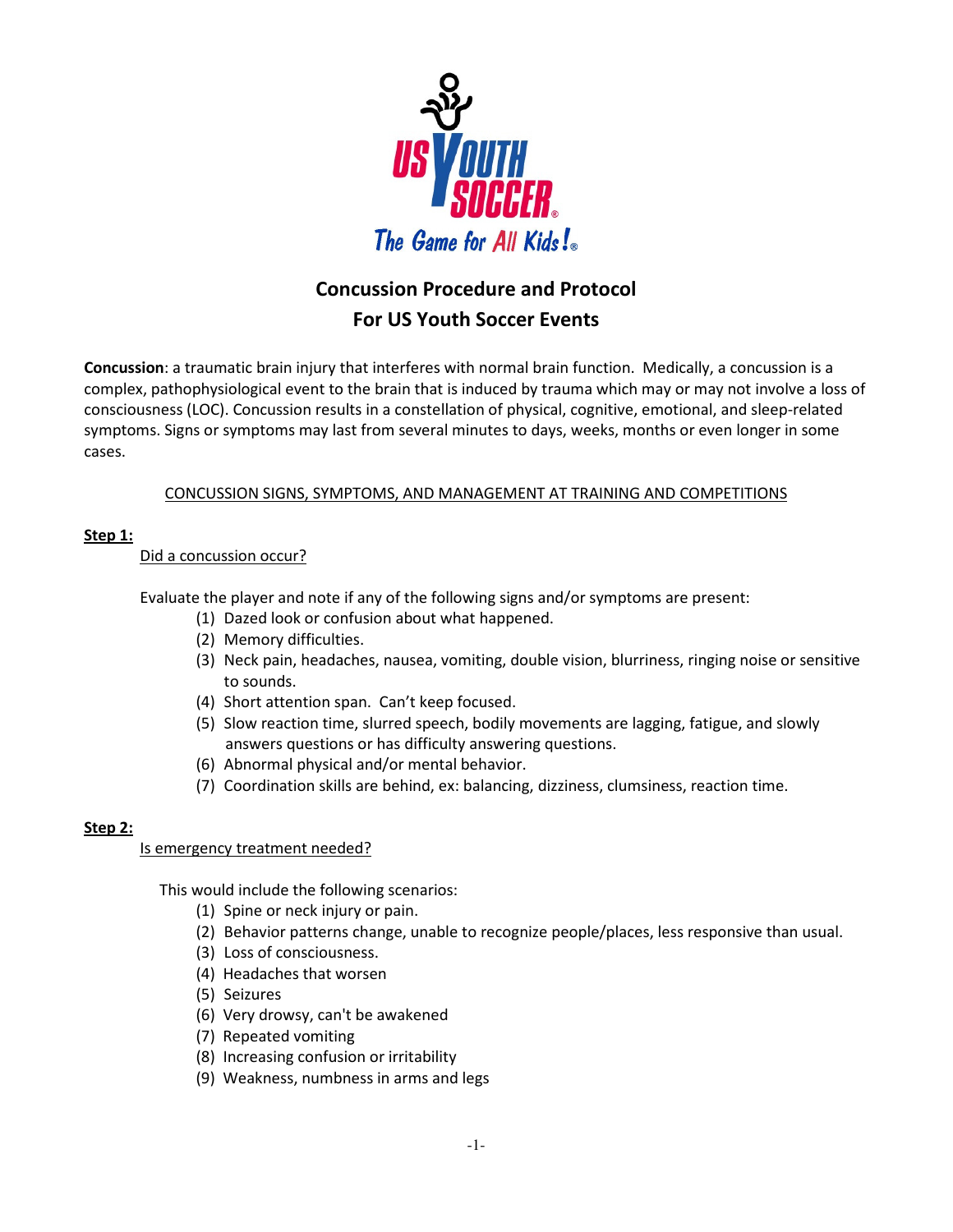

# **Concussion Procedure and Protocol For US Youth Soccer Events**

**Concussion**: a traumatic brain injury that interferes with normal brain function. Medically, a concussion is a complex, pathophysiological event to the brain that is induced by trauma which may or may not involve a loss of consciousness (LOC). Concussion results in a constellation of physical, cognitive, emotional, and sleep-related symptoms. Signs or symptoms may last from several minutes to days, weeks, months or even longer in some cases.

## CONCUSSION SIGNS, SYMPTOMS, AND MANAGEMENT AT TRAINING AND COMPETITIONS

## **Step 1:**

Did a concussion occur?

Evaluate the player and note if any of the following signs and/or symptoms are present:

- (1) Dazed look or confusion about what happened.
- (2) Memory difficulties.
- (3) Neck pain, headaches, nausea, vomiting, double vision, blurriness, ringing noise or sensitive to sounds.
- (4) Short attention span. Can't keep focused.
- (5) Slow reaction time, slurred speech, bodily movements are lagging, fatigue, and slowly answers questions or has difficulty answering questions.
- (6) Abnormal physical and/or mental behavior.
- (7) Coordination skills are behind, ex: balancing, dizziness, clumsiness, reaction time.

#### **Step 2:**

#### Is emergency treatment needed?

This would include the following scenarios:

- (1) Spine or neck injury or pain.
- (2) Behavior patterns change, unable to recognize people/places, less responsive than usual.
- (3) Loss of consciousness.
- (4) Headaches that worsen
- (5) Seizures
- (6) Very drowsy, can't be awakened
- (7) Repeated vomiting
- (8) Increasing confusion or irritability
- (9) Weakness, numbness in arms and legs